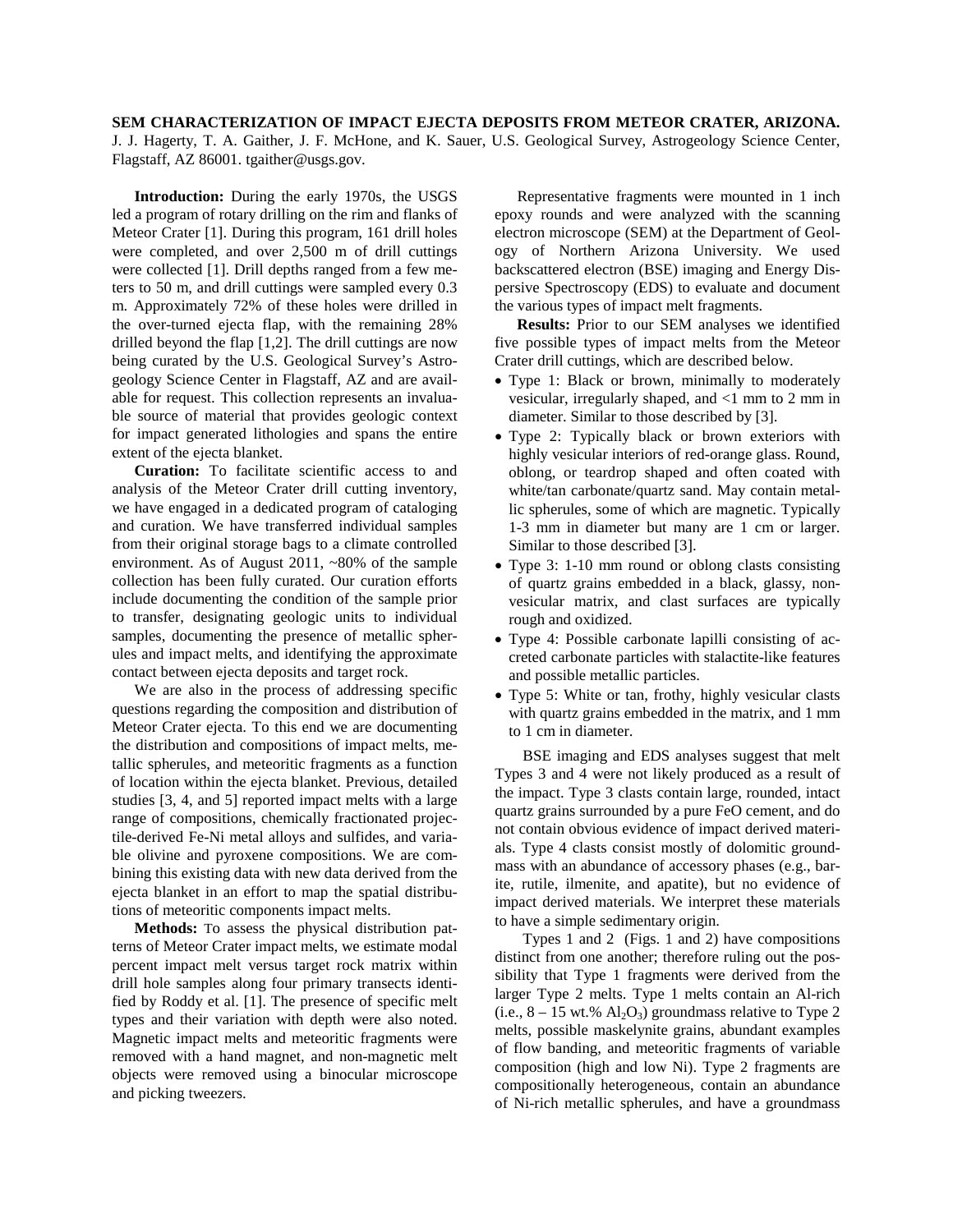**SEM CHARACTERIZATION OF IMPACT EJECTA DEPOSITS FROM METEOR CRATER, ARIZONA.**

J. J. Hagerty, T. A. Gaither, J. F. McHone, and K. Sauer, U.S. Geological Survey, Astrogeology Science Center, Flagstaff, AZ 86001. tgaither@usgs.gov.

**Introduction:** During the early 1970s, the USGS led a program of rotary drilling on the rim and flanks of Meteor Crater [1]. During this program, 161 drill holes were completed, and over 2,500 m of drill cuttings were collected [1]. Drill depths ranged from a few meters to 50 m, and drill cuttings were sampled every 0.3 m. Approximately 72% of these holes were drilled in the over-turned ejecta flap, with the remaining 28% drilled beyond the flap [1,2]. The drill cuttings are now being curated by the U.S. Geological Survey's Astrogeology Science Center in Flagstaff, AZ and are available for request. This collection represents an invaluable source of material that provides geologic context for impact generated lithologies and spans the entire extent of the ejecta blanket.

**Curation:** To facilitate scientific access to and analysis of the Meteor Crater drill cutting inventory, we have engaged in a dedicated program of cataloging and curation. We have transferred individual samples from their original storage bags to a climate controlled environment. As of August 2011, ~80% of the sample collection has been fully curated. Our curation efforts include documenting the condition of the sample prior to transfer, designating geologic units to individual samples, documenting the presence of metallic spherules and impact melts, and identifying the approximate contact between ejecta deposits and target rock.

We are also in the process of addressing specific questions regarding the composition and distribution of Meteor Crater ejecta. To this end we are documenting the distribution and compositions of impact melts, metallic spherules, and meteoritic fragments as a function of location within the ejecta blanket. Previous, detailed studies [3, 4, and 5] reported impact melts with a large range of compositions, chemically fractionated projectile-derived Fe-Ni metal alloys and sulfides, and variable olivine and pyroxene compositions. We are combining this existing data with new data derived from the ejecta blanket in an effort to map the spatial distributions of meteoritic components impact melts.

**Methods:** To assess the physical distribution patterns of Meteor Crater impact melts, we estimate modal percent impact melt versus target rock matrix within drill hole samples along four primary transects identified by Roddy et al. [1]. The presence of specific melt types and their variation with depth were also noted. Magnetic impact melts and meteoritic fragments were removed with a hand magnet, and non-magnetic melt objects were removed using a binocular microscope and picking tweezers.

Representative fragments were mounted in 1 inch epoxy rounds and were analyzed with the scanning electron microscope (SEM) at the Department of Geology of Northern Arizona University. We used backscattered electron (BSE) imaging and Energy Dispersive Spectroscopy (EDS) to evaluate and document the various types of impact melt fragments.

**Results:** Prior to our SEM analyses we identified five possible types of impact melts from the Meteor Crater drill cuttings, which are described below.

- Type 1: Black or brown, minimally to moderately vesicular, irregularly shaped, and <1 mm to 2 mm in diameter. Similar to those described by [3].
- Type 2: Typically black or brown exteriors with highly vesicular interiors of red-orange glass. Round, oblong, or teardrop shaped and often coated with white/tan carbonate/quartz sand. May contain metallic spherules, some of which are magnetic. Typically 1-3 mm in diameter but many are 1 cm or larger. Similar to those described [3].
- Type 3: 1-10 mm round or oblong clasts consisting of quartz grains embedded in a black, glassy, nonvesicular matrix, and clast surfaces are typically rough and oxidized.
- Type 4: Possible carbonate lapilli consisting of accreted carbonate particles with stalactite-like features and possible metallic particles.
- Type 5: White or tan, frothy, highly vesicular clasts with quartz grains embedded in the matrix, and 1 mm to 1 cm in diameter.

BSE imaging and EDS analyses suggest that melt Types 3 and 4 were not likely produced as a result of the impact. Type 3 clasts contain large, rounded, intact quartz grains surrounded by a pure FeO cement, and do not contain obvious evidence of impact derived materials. Type 4 clasts consist mostly of dolomitic groundmass with an abundance of accessory phases (e.g., barite, rutile, ilmenite, and apatite), but no evidence of impact derived materials. We interpret these materials to have a simple sedimentary origin.

Types 1 and 2 (Figs. 1 and 2) have compositions distinct from one another; therefore ruling out the possibility that Type 1 fragments were derived from the larger Type 2 melts. Type 1 melts contain an Al-rich (i.e.,  $8 - 15$  wt.%  $Al_2O_3$ ) groundmass relative to Type 2 melts, possible maskelynite grains, abundant examples of flow banding, and meteoritic fragments of variable composition (high and low Ni). Type 2 fragments are compositionally heterogeneous, contain an abundance of Ni-rich metallic spherules, and have a groundmass